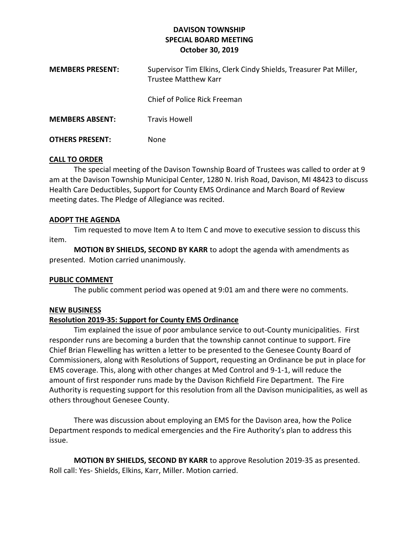# **DAVISON TOWNSHIP SPECIAL BOARD MEETING October 30, 2019**

| <b>MEMBERS PRESENT:</b> | Supervisor Tim Elkins, Clerk Cindy Shields, Treasurer Pat Miller,<br><b>Trustee Matthew Karr</b> |
|-------------------------|--------------------------------------------------------------------------------------------------|
|                         | Chief of Police Rick Freeman                                                                     |
| <b>MEMBERS ABSENT:</b>  | <b>Travis Howell</b>                                                                             |
| <b>OTHERS PRESENT:</b>  | None                                                                                             |

## **CALL TO ORDER**

The special meeting of the Davison Township Board of Trustees was called to order at 9 am at the Davison Township Municipal Center, 1280 N. Irish Road, Davison, MI 48423 to discuss Health Care Deductibles, Support for County EMS Ordinance and March Board of Review meeting dates. The Pledge of Allegiance was recited.

### **ADOPT THE AGENDA**

Tim requested to move Item A to Item C and move to executive session to discuss this item.

**MOTION BY SHIELDS, SECOND BY KARR** to adopt the agenda with amendments as presented. Motion carried unanimously.

## **PUBLIC COMMENT**

The public comment period was opened at 9:01 am and there were no comments.

#### **NEW BUSINESS**

## **Resolution 2019-35: Support for County EMS Ordinance**

Tim explained the issue of poor ambulance service to out-County municipalities. First responder runs are becoming a burden that the township cannot continue to support. Fire Chief Brian Flewelling has written a letter to be presented to the Genesee County Board of Commissioners, along with Resolutions of Support, requesting an Ordinance be put in place for EMS coverage. This, along with other changes at Med Control and 9-1-1, will reduce the amount of first responder runs made by the Davison Richfield Fire Department. The Fire Authority is requesting support for this resolution from all the Davison municipalities, as well as others throughout Genesee County.

There was discussion about employing an EMS for the Davison area, how the Police Department responds to medical emergencies and the Fire Authority's plan to address this issue.

**MOTION BY SHIELDS, SECOND BY KARR** to approve Resolution 2019-35 as presented. Roll call: Yes- Shields, Elkins, Karr, Miller. Motion carried.